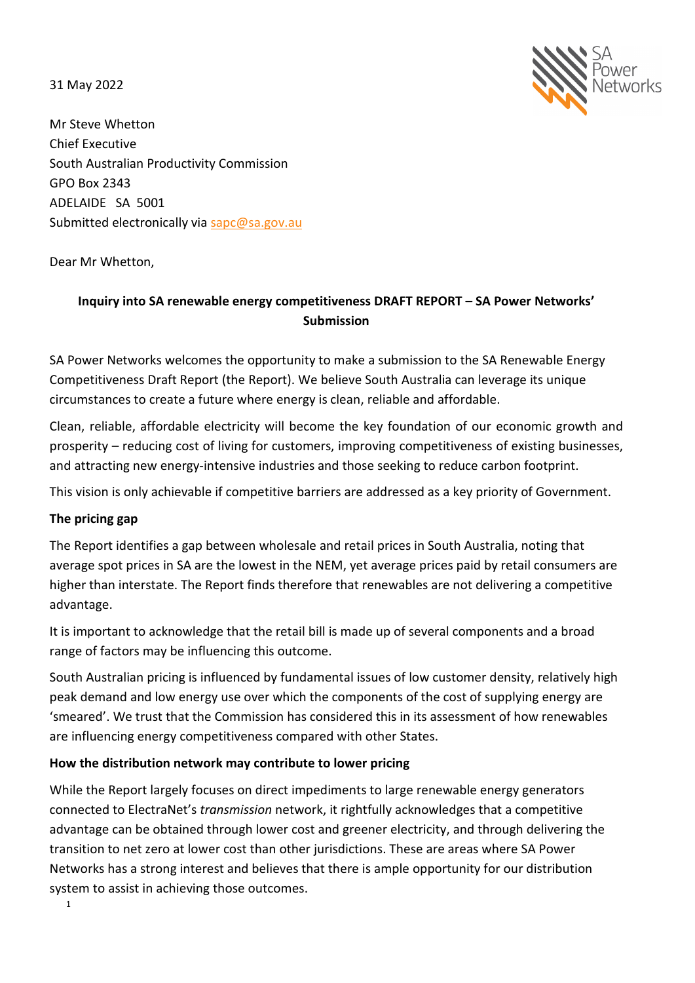31 May 2022



Mr Steve Whetton Chief Executive South Australian Productivity Commission GPO Box 2343 ADELAIDE SA 5001 Submitted electronically via [sapc@sa.gov.au](mailto:sapc@sa.gov.au)

Dear Mr Whetton,

## **Inquiry into SA renewable energy competitiveness DRAFT REPORT – SA Power Networks' Submission**

SA Power Networks welcomes the opportunity to make a submission to the SA Renewable Energy Competitiveness Draft Report (the Report). We believe South Australia can leverage its unique circumstances to create a future where energy is clean, reliable and affordable.

Clean, reliable, affordable electricity will become the key foundation of our economic growth and prosperity – reducing cost of living for customers, improving competitiveness of existing businesses, and attracting new energy-intensive industries and those seeking to reduce carbon footprint.

This vision is only achievable if competitive barriers are addressed as a key priority of Government.

#### **The pricing gap**

The Report identifies a gap between wholesale and retail prices in South Australia, noting that average spot prices in SA are the lowest in the NEM, yet average prices paid by retail consumers are higher than interstate. The Report finds therefore that renewables are not delivering a competitive advantage.

It is important to acknowledge that the retail bill is made up of several components and a broad range of factors may be influencing this outcome.

South Australian pricing is influenced by fundamental issues of low customer density, relatively high peak demand and low energy use over which the components of the cost of supplying energy are 'smeared'. We trust that the Commission has considered this in its assessment of how renewables are influencing energy competitiveness compared with other States.

#### **How the distribution network may contribute to lower pricing**

While the Report largely focuses on direct impediments to large renewable energy generators connected to ElectraNet's *transmission* network, it rightfully acknowledges that a competitive advantage can be obtained through lower cost and greener electricity, and through delivering the transition to net zero at lower cost than other jurisdictions. These are areas where SA Power Networks has a strong interest and believes that there is ample opportunity for our distribution system to assist in achieving those outcomes.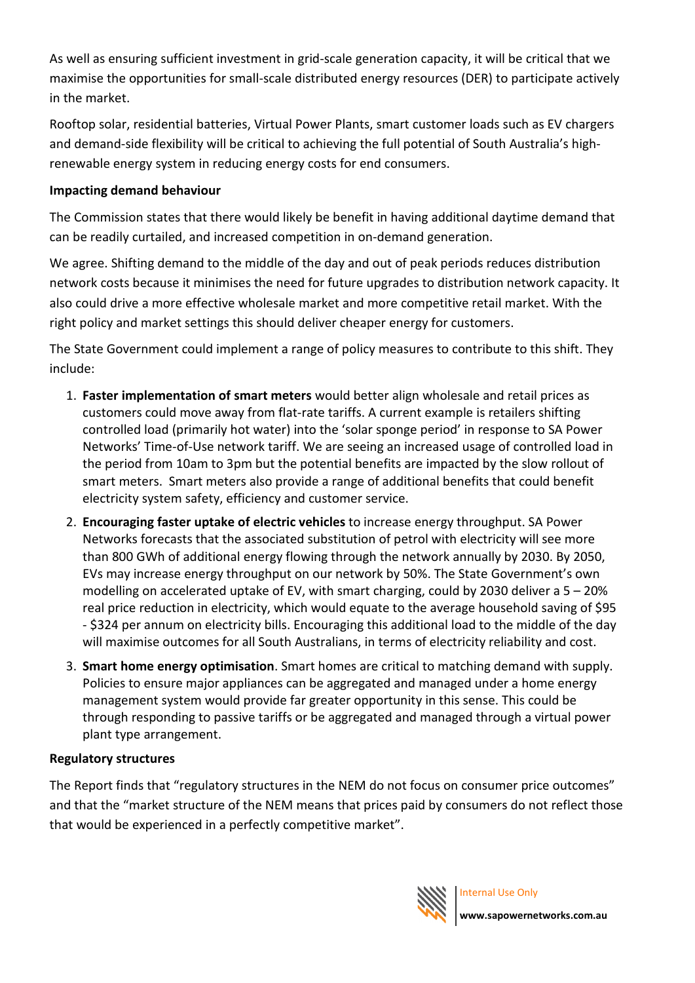As well as ensuring sufficient investment in grid-scale generation capacity, it will be critical that we maximise the opportunities for small-scale distributed energy resources (DER) to participate actively in the market.

Rooftop solar, residential batteries, Virtual Power Plants, smart customer loads such as EV chargers and demand-side flexibility will be critical to achieving the full potential of South Australia's highrenewable energy system in reducing energy costs for end consumers.

## **Impacting demand behaviour**

The Commission states that there would likely be benefit in having additional daytime demand that can be readily curtailed, and increased competition in on-demand generation.

We agree. Shifting demand to the middle of the day and out of peak periods reduces distribution network costs because it minimises the need for future upgrades to distribution network capacity. It also could drive a more effective wholesale market and more competitive retail market. With the right policy and market settings this should deliver cheaper energy for customers.

The State Government could implement a range of policy measures to contribute to this shift. They include:

- 1. **Faster implementation of smart meters** would better align wholesale and retail prices as customers could move away from flat-rate tariffs. A current example is retailers shifting controlled load (primarily hot water) into the 'solar sponge period' in response to SA Power Networks' Time-of-Use network tariff. We are seeing an increased usage of controlled load in the period from 10am to 3pm but the potential benefits are impacted by the slow rollout of smart meters. Smart meters also provide a range of additional benefits that could benefit electricity system safety, efficiency and customer service.
- 2. **Encouraging faster uptake of electric vehicles** to increase energy throughput. SA Power Networks forecasts that the associated substitution of petrol with electricity will see more than 800 GWh of additional energy flowing through the network annually by 2030. By 2050, EVs may increase energy throughput on our network by 50%. The State Government's own modelling on accelerated uptake of EV, with smart charging, could by 2030 deliver a  $5 - 20%$ real price reduction in electricity, which would equate to the average household saving of \$95 - \$324 per annum on electricity bills. Encouraging this additional load to the middle of the day will maximise outcomes for all South Australians, in terms of electricity reliability and cost.
- 3. **Smart home energy optimisation**. Smart homes are critical to matching demand with supply. Policies to ensure major appliances can be aggregated and managed under a home energy management system would provide far greater opportunity in this sense. This could be through responding to passive tariffs or be aggregated and managed through a virtual power plant type arrangement.

## **Regulatory structures**

The Report finds that "regulatory structures in the NEM do not focus on consumer price outcomes" and that the "market structure of the NEM means that prices paid by consumers do not reflect those that would be experienced in a perfectly competitive market".

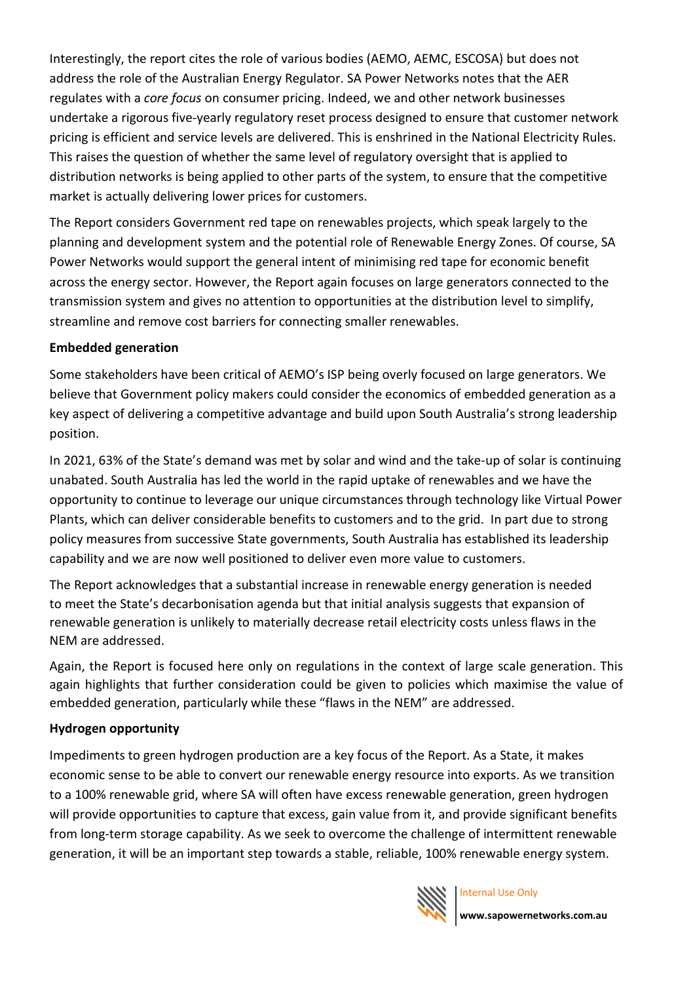Interestingly, the report cites the role of various bodies (AEMO, AEMC, ESCOSA) but does not address the role of the Australian Energy Regulator. SA Power Networks notes that the AER regulates with a *core focus* on consumer pricing. Indeed, we and other network businesses undertake a rigorous five-yearly regulatory reset process designed to ensure that customer network pricing is efficient and service levels are delivered. This is enshrined in the National Electricity Rules. This raises the question of whether the same level of regulatory oversight that is applied to distribution networks is being applied to other parts of the system, to ensure that the competitive market is actually delivering lower prices for customers.

The Report considers Government red tape on renewables projects, which speak largely to the planning and development system and the potential role of Renewable Energy Zones. Of course, SA Power Networks would support the general intent of minimising red tape for economic benefit across the energy sector. However, the Report again focuses on large generators connected to the transmission system and gives no attention to opportunities at the distribution level to simplify, streamline and remove cost barriers for connecting smaller renewables.

## **Embedded generation**

Some stakeholders have been critical of AEMO's ISP being overly focused on large generators. We believe that Government policy makers could consider the economics of embedded generation as a key aspect of delivering a competitive advantage and build upon South Australia's strong leadership position.

In 2021, 63% of the State's demand was met by solar and wind and the take-up of solar is continuing unabated. South Australia has led the world in the rapid uptake of renewables and we have the opportunity to continue to leverage our unique circumstances through technology like Virtual Power Plants, which can deliver considerable benefits to customers and to the grid. In part due to strong policy measures from successive State governments, South Australia has established its leadership capability and we are now well positioned to deliver even more value to customers.

The Report acknowledges that a substantial increase in renewable energy generation is needed to meet the State's decarbonisation agenda but that initial analysis suggests that expansion of renewable generation is unlikely to materially decrease retail electricity costs unless flaws in the NEM are addressed.

Again, the Report is focused here only on regulations in the context of large scale generation. This again highlights that further consideration could be given to policies which maximise the value of embedded generation, particularly while these "flaws in the NEM" are addressed.

# **Hydrogen opportunity**

Impediments to green hydrogen production are a key focus of the Report. As a State, it makes economic sense to be able to convert our renewable energy resource into exports. As we transition to a 100% renewable grid, where SA will often have excess renewable generation, green hydrogen will provide opportunities to capture that excess, gain value from it, and provide significant benefits from long-term storage capability. As we seek to overcome the challenge of intermittent renewable generation, it will be an important step towards a stable, reliable, 100% renewable energy system.



Internal Use Only **www.sapowernetworks.com.au**